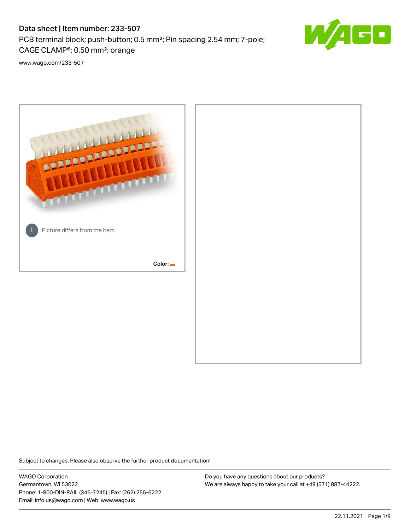# Data sheet | Item number: 233-507

PCB terminal block; push-button; 0.5 mm²; Pin spacing 2.54 mm; 7-pole; CAGE CLAMP®; 0,50 mm²; orange



[www.wago.com/233-507](http://www.wago.com/233-507)



Subject to changes. Please also observe the further product documentation!

WAGO Corporation Germantown, WI 53022 Phone: 1-800-DIN-RAIL (346-7245) | Fax: (262) 255-6222 Email: info.us@wago.com | Web: www.wago.us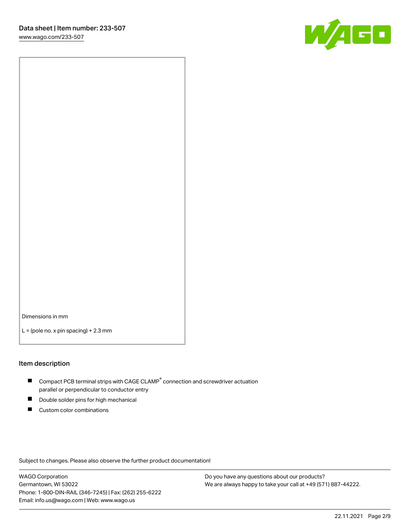

Dimensions in mm

 $L =$  (pole no. x pin spacing) + 2.3 mm

#### Item description

- $\blacksquare$  Compact PCB terminal strips with CAGE CLAMP<sup>®</sup> connection and screwdriver actuation parallel or perpendicular to conductor entry
- П Double solder pins for high mechanical
- $\blacksquare$ Custom color combinations

Subject to changes. Please also observe the further product documentation!

WAGO Corporation Germantown, WI 53022 Phone: 1-800-DIN-RAIL (346-7245) | Fax: (262) 255-6222 Email: info.us@wago.com | Web: www.wago.us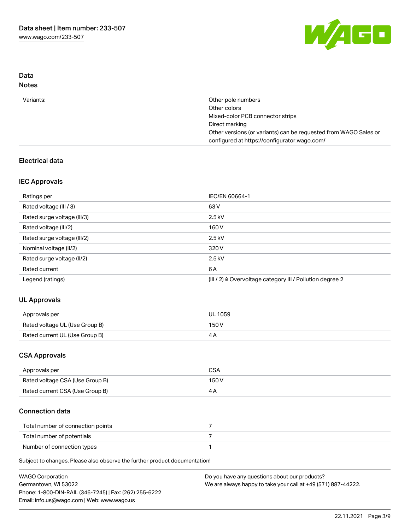

# Data Notes

| Variants: | Other pole numbers                                               |
|-----------|------------------------------------------------------------------|
|           | Other colors                                                     |
|           | Mixed-color PCB connector strips                                 |
|           | Direct marking                                                   |
|           | Other versions (or variants) can be requested from WAGO Sales or |
|           | configured at https://configurator.wago.com/                     |
|           |                                                                  |

# Electrical data

# IEC Approvals

| Ratings per                 | IEC/EN 60664-1                                                        |
|-----------------------------|-----------------------------------------------------------------------|
| Rated voltage (III / 3)     | 63 V                                                                  |
| Rated surge voltage (III/3) | $2.5$ kV                                                              |
| Rated voltage (III/2)       | 160 V                                                                 |
| Rated surge voltage (III/2) | $2.5$ kV                                                              |
| Nominal voltage (II/2)      | 320 V                                                                 |
| Rated surge voltage (II/2)  | $2.5$ kV                                                              |
| Rated current               | 6 A                                                                   |
| Legend (ratings)            | $(III / 2)$ $\triangle$ Overvoltage category III / Pollution degree 2 |

# UL Approvals

| Approvals per                  | <b>UL 1059</b> |
|--------------------------------|----------------|
| Rated voltage UL (Use Group B) | 150 V          |
| Rated current UL (Use Group B) |                |

# CSA Approvals

| Approvals per                   | CSA   |
|---------------------------------|-------|
| Rated voltage CSA (Use Group B) | 150 V |
| Rated current CSA (Use Group B) |       |

# Connection data

| Total number of connection points |  |
|-----------------------------------|--|
| Total number of potentials        |  |
| Number of connection types        |  |

Subject to changes. Please also observe the further product documentation!

| <b>WAGO Corporation</b>                                | Do you have any questions about our products?                 |
|--------------------------------------------------------|---------------------------------------------------------------|
| Germantown, WI 53022                                   | We are always happy to take your call at +49 (571) 887-44222. |
| Phone: 1-800-DIN-RAIL (346-7245)   Fax: (262) 255-6222 |                                                               |
| Email: info.us@wago.com   Web: www.wago.us             |                                                               |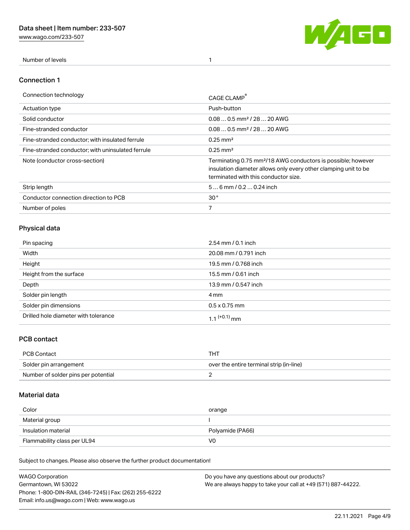[www.wago.com/233-507](http://www.wago.com/233-507)



Number of levels 1

#### Connection 1

| Connection technology                             | CAGE CLAMP                                                                                                                                                                          |
|---------------------------------------------------|-------------------------------------------------------------------------------------------------------------------------------------------------------------------------------------|
| <b>Actuation type</b>                             | Push-button                                                                                                                                                                         |
| Solid conductor                                   | $0.080.5$ mm <sup>2</sup> / 28  20 AWG                                                                                                                                              |
| Fine-stranded conductor                           | $0.080.5$ mm <sup>2</sup> / 28  20 AWG                                                                                                                                              |
| Fine-stranded conductor; with insulated ferrule   | $0.25 \text{ mm}^2$                                                                                                                                                                 |
| Fine-stranded conductor: with uninsulated ferrule | $0.25 \text{ mm}^2$                                                                                                                                                                 |
| Note (conductor cross-section)                    | Terminating 0.75 mm <sup>2</sup> /18 AWG conductors is possible; however<br>insulation diameter allows only every other clamping unit to be<br>terminated with this conductor size. |
| Strip length                                      | $56$ mm $/ 0.20.24$ inch                                                                                                                                                            |
| Conductor connection direction to PCB             | 30 <sup>°</sup>                                                                                                                                                                     |
| Number of poles                                   | 7                                                                                                                                                                                   |

# Physical data

| Pin spacing                          | $2.54 \, \text{mm}$ / 0.1 inch |
|--------------------------------------|--------------------------------|
| Width                                | 20.08 mm / 0.791 inch          |
| Height                               | 19.5 mm / 0.768 inch           |
| Height from the surface              | 15.5 mm / 0.61 inch            |
| Depth                                | 13.9 mm / 0.547 inch           |
| Solder pin length                    | 4 mm                           |
| Solder pin dimensions                | $0.5 \times 0.75$ mm           |
| Drilled hole diameter with tolerance | 1.1 <sup>(+0.1)</sup> mm       |

# PCB contact

| PCB Contact                         | THT                                      |
|-------------------------------------|------------------------------------------|
| Solder pin arrangement              | over the entire terminal strip (in-line) |
| Number of solder pins per potential |                                          |

# Material data

| Color               | orange           |
|---------------------|------------------|
| Material group      |                  |
| Insulation material |                  |
|                     | Polyamide (PA66) |

Subject to changes. Please also observe the further product documentation!

| <b>WAGO Corporation</b>                                | Do you have any questions about our products?                 |
|--------------------------------------------------------|---------------------------------------------------------------|
| Germantown, WI 53022                                   | We are always happy to take your call at +49 (571) 887-44222. |
| Phone: 1-800-DIN-RAIL (346-7245)   Fax: (262) 255-6222 |                                                               |
| Email: info.us@wago.com   Web: www.wago.us             |                                                               |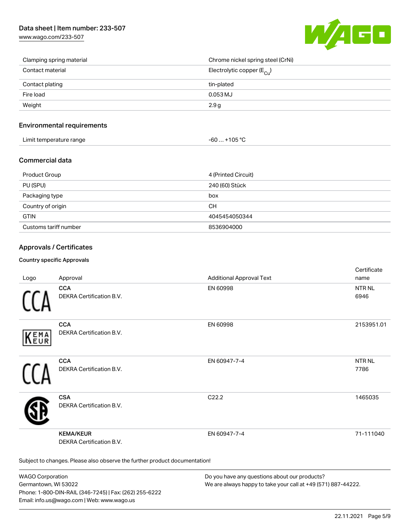# Data sheet | Item number: 233-507

[www.wago.com/233-507](http://www.wago.com/233-507)



| Clamping spring material | Chrome nickel spring steel (CrNi)       |
|--------------------------|-----------------------------------------|
| Contact material         | Electrolytic copper ( $E_{\text{Cu}}$ ) |
| Contact plating          | tin-plated                              |
| Fire load                | $0.053$ MJ                              |
| Weight                   | 2.9 g                                   |

#### Environmental requirements

| Limit temperature range | 1000<br>nos<br>-n |  |
|-------------------------|-------------------|--|
|-------------------------|-------------------|--|

#### Commercial data

| Product Group         | 4 (Printed Circuit) |
|-----------------------|---------------------|
| PU (SPU)              | 240 (60) Stück      |
| Packaging type        | box                 |
| Country of origin     | CН                  |
| <b>GTIN</b>           | 4045454050344       |
| Customs tariff number | 8536904000          |

#### Approvals / Certificates

#### Country specific Approvals

| Logo       | Approval                                                                   | <b>Additional Approval Text</b> | Certificate<br>name   |
|------------|----------------------------------------------------------------------------|---------------------------------|-----------------------|
|            | <b>CCA</b><br><b>DEKRA Certification B.V.</b>                              | EN 60998                        | <b>NTRNL</b><br>6946  |
| EMA<br>EUR | <b>CCA</b><br>DEKRA Certification B.V.                                     | EN 60998                        | 2153951.01            |
|            | <b>CCA</b><br>DEKRA Certification B.V.                                     | EN 60947-7-4                    | <b>NTR NL</b><br>7786 |
|            | <b>CSA</b><br><b>DEKRA Certification B.V.</b>                              | C <sub>22.2</sub>               | 1465035               |
|            | <b>KEMA/KEUR</b><br>DEKRA Certification B.V.                               | EN 60947-7-4                    | 71-111040             |
|            | Subject to changes. Please also observe the further product documentation! |                                 |                       |

WAGO Corporation Germantown, WI 53022 Phone: 1-800-DIN-RAIL (346-7245) | Fax: (262) 255-6222 Email: info.us@wago.com | Web: www.wago.us

Do you have any questions about our products? We are always happy to take your call at +49 (571) 887-44222.

certificate in the contraction of the contraction of the contraction of the contraction of the contraction of the contraction of the contraction of the contraction of the contraction of the contraction of the contraction o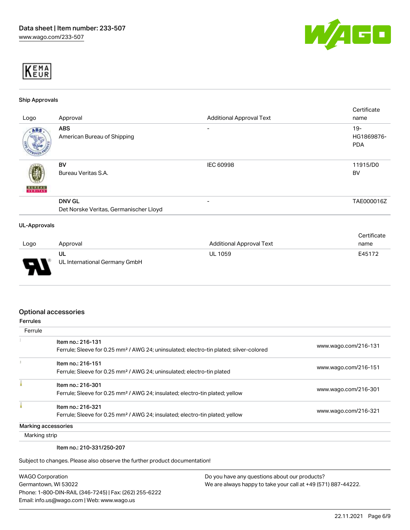



#### Ship Approvals

|                          |                                        |                                 | Certificate |
|--------------------------|----------------------------------------|---------------------------------|-------------|
| Logo                     | Approval                               | <b>Additional Approval Text</b> | name        |
| ABS.                     | <b>ABS</b>                             | -                               | $19 -$      |
|                          | American Bureau of Shipping            |                                 | HG1869876-  |
|                          |                                        |                                 | <b>PDA</b>  |
|                          |                                        |                                 |             |
|                          | BV                                     | IEC 60998                       | 11915/D0    |
|                          | Bureau Veritas S.A.                    |                                 | <b>BV</b>   |
|                          |                                        |                                 |             |
| <b>BUREAU</b><br>VERITAS |                                        |                                 |             |
|                          | <b>DNV GL</b>                          |                                 | TAE000016Z  |
|                          | Det Norske Veritas, Germanischer Lloyd |                                 |             |
| <b>UL-Approvals</b>      |                                        |                                 |             |
|                          |                                        |                                 | Certificate |
| Logo                     | Approval                               | <b>Additional Approval Text</b> | name        |

| Logo                          | Approval                      | <b>Additional Approval Text</b> | name   |
|-------------------------------|-------------------------------|---------------------------------|--------|
|                               | ul                            | UL 1059                         | E45172 |
| D<br>$\overline{\phantom{a}}$ | UL International Germany GmbH |                                 |        |

#### Optional accessories

| <b>Ferrules</b> |                                                                                                                         |                      |
|-----------------|-------------------------------------------------------------------------------------------------------------------------|----------------------|
| Ferrule         |                                                                                                                         |                      |
|                 | Item no.: 216-131<br>Ferrule; Sleeve for 0.25 mm <sup>2</sup> / AWG 24; uninsulated; electro-tin plated; silver-colored | www.wago.com/216-131 |
|                 | Item no.: 216-151<br>Ferrule; Sleeve for 0.25 mm <sup>2</sup> / AWG 24; uninsulated; electro-tin plated                 | www.wago.com/216-151 |
|                 | Item no.: 216-301<br>Ferrule; Sleeve for 0.25 mm <sup>2</sup> / AWG 24; insulated; electro-tin plated; yellow           | www.wago.com/216-301 |
|                 | Item no.: 216-321<br>Ferrule; Sleeve for 0.25 mm <sup>2</sup> / AWG 24; insulated; electro-tin plated; yellow           | www.wago.com/216-321 |
|                 | Marking accessories                                                                                                     |                      |
| Marking strip   |                                                                                                                         |                      |

Item no.: 210-331/250-207

Subject to changes. Please also observe the further product documentation!

| <b>WAGO Corporation</b>                                |
|--------------------------------------------------------|
| Germantown, WI 53022                                   |
| Phone: 1-800-DIN-RAIL (346-7245)   Fax: (262) 255-6222 |
| Email: info.us@wago.com   Web: www.wago.us             |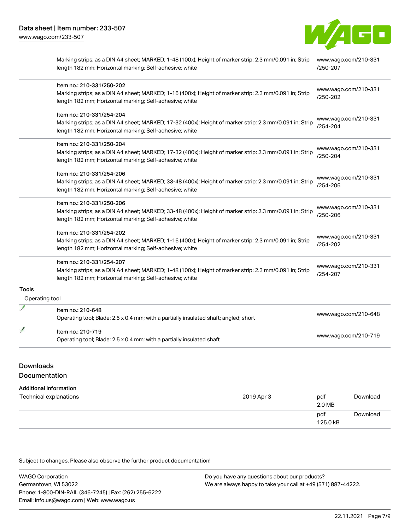

|                | Marking strips; as a DIN A4 sheet; MARKED; 1-48 (100x); Height of marker strip: 2.3 mm/0.091 in; Strip<br>length 182 mm; Horizontal marking; Self-adhesive; white                               | www.wago.com/210-331<br>/250-207 |
|----------------|-------------------------------------------------------------------------------------------------------------------------------------------------------------------------------------------------|----------------------------------|
|                | Item no.: 210-331/250-202<br>Marking strips; as a DIN A4 sheet; MARKED; 1-16 (400x); Height of marker strip: 2.3 mm/0.091 in; Strip<br>length 182 mm; Horizontal marking; Self-adhesive; white  | www.wago.com/210-331<br>/250-202 |
|                | Item no.: 210-331/254-204<br>Marking strips; as a DIN A4 sheet; MARKED; 17-32 (400x); Height of marker strip: 2.3 mm/0.091 in; Strip<br>length 182 mm; Horizontal marking; Self-adhesive; white | www.wago.com/210-331<br>/254-204 |
|                | Item no.: 210-331/250-204<br>Marking strips; as a DIN A4 sheet; MARKED; 17-32 (400x); Height of marker strip: 2.3 mm/0.091 in; Strip<br>length 182 mm; Horizontal marking; Self-adhesive; white | www.wago.com/210-331<br>/250-204 |
|                | Item no.: 210-331/254-206<br>Marking strips; as a DIN A4 sheet; MARKED; 33-48 (400x); Height of marker strip: 2.3 mm/0.091 in; Strip<br>length 182 mm; Horizontal marking; Self-adhesive; white | www.wago.com/210-331<br>/254-206 |
|                | Item no.: 210-331/250-206<br>Marking strips; as a DIN A4 sheet; MARKED; 33-48 (400x); Height of marker strip: 2.3 mm/0.091 in; Strip<br>length 182 mm; Horizontal marking; Self-adhesive; white | www.wago.com/210-331<br>/250-206 |
|                | Item no.: 210-331/254-202<br>Marking strips; as a DIN A4 sheet; MARKED; 1-16 (400x); Height of marker strip: 2.3 mm/0.091 in; Strip<br>length 182 mm; Horizontal marking; Self-adhesive; white  | www.wago.com/210-331<br>/254-202 |
|                | Item no.: 210-331/254-207<br>Marking strips; as a DIN A4 sheet; MARKED; 1-48 (100x); Height of marker strip: 2.3 mm/0.091 in; Strip<br>length 182 mm; Horizontal marking; Self-adhesive; white  | www.wago.com/210-331<br>/254-207 |
| Tools          |                                                                                                                                                                                                 |                                  |
| Operating tool |                                                                                                                                                                                                 |                                  |
|                | Item no.: 210-648<br>Operating tool; Blade: 2.5 x 0.4 mm; with a partially insulated shaft; angled; short                                                                                       | www.wago.com/210-648             |
|                | Item no.: 210-719<br>Operating tool; Blade: 2.5 x 0.4 mm; with a partially insulated shaft                                                                                                      | www.wago.com/210-719             |

# Downloads

# Documentation

#### Additional Information

| Technical explanations | 2019 Apr 3 | pdf<br>2.0 MB   | Download |
|------------------------|------------|-----------------|----------|
|                        |            | pdf<br>125.0 kB | Download |

Subject to changes. Please also observe the further product documentation!

| <b>WAGO Corporation</b>                                | Do you have any questions about our products?                 |
|--------------------------------------------------------|---------------------------------------------------------------|
| Germantown, WI 53022                                   | We are always happy to take your call at +49 (571) 887-44222. |
| Phone: 1-800-DIN-RAIL (346-7245)   Fax: (262) 255-6222 |                                                               |
| Email: info.us@wago.com   Web: www.wago.us             |                                                               |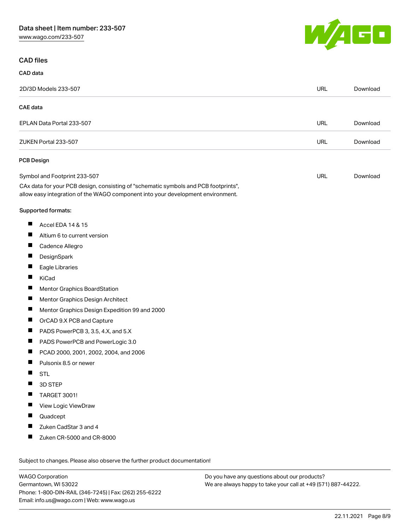W/AGO

#### CAD files

|                 | 2D/3D Models 233-507                                                                                                                                                   | <b>URL</b> | Download |
|-----------------|------------------------------------------------------------------------------------------------------------------------------------------------------------------------|------------|----------|
| <b>CAE</b> data |                                                                                                                                                                        |            |          |
|                 | EPLAN Data Portal 233-507                                                                                                                                              | <b>URL</b> | Download |
|                 | ZUKEN Portal 233-507                                                                                                                                                   | <b>URL</b> | Download |
|                 | <b>PCB Design</b>                                                                                                                                                      |            |          |
|                 | Symbol and Footprint 233-507                                                                                                                                           | URL        | Download |
|                 | CAx data for your PCB design, consisting of "schematic symbols and PCB footprints",<br>allow easy integration of the WAGO component into your development environment. |            |          |
|                 | Supported formats:                                                                                                                                                     |            |          |
| ш               | Accel EDA 14 & 15                                                                                                                                                      |            |          |
| П               | Altium 6 to current version                                                                                                                                            |            |          |
| ш               | Cadence Allegro                                                                                                                                                        |            |          |
| Ш               | DesignSpark                                                                                                                                                            |            |          |
| П               | Eagle Libraries                                                                                                                                                        |            |          |
| ш               | KiCad                                                                                                                                                                  |            |          |
| ш               | Mentor Graphics BoardStation                                                                                                                                           |            |          |
| П               | Mentor Graphics Design Architect                                                                                                                                       |            |          |
| ш               | Mentor Graphics Design Expedition 99 and 2000                                                                                                                          |            |          |
| Ш               | OrCAD 9.X PCB and Capture                                                                                                                                              |            |          |
| ш               | PADS PowerPCB 3, 3.5, 4.X, and 5.X                                                                                                                                     |            |          |
| ш               | PADS PowerPCB and PowerLogic 3.0                                                                                                                                       |            |          |
| П               | PCAD 2000, 2001, 2002, 2004, and 2006                                                                                                                                  |            |          |
| ш               | Pulsonix 8.5 or newer                                                                                                                                                  |            |          |
| Ш               | <b>STL</b>                                                                                                                                                             |            |          |
|                 | 3D STEP                                                                                                                                                                |            |          |
|                 | <b>TARGET 3001!</b>                                                                                                                                                    |            |          |
| ш               | View Logic ViewDraw                                                                                                                                                    |            |          |
| ш               | Quadcept                                                                                                                                                               |            |          |
|                 | Zuken CadStar 3 and 4                                                                                                                                                  |            |          |
|                 | Zuken CR-5000 and CR-8000                                                                                                                                              |            |          |

WAGO Corporation Germantown, WI 53022 Phone: 1-800-DIN-RAIL (346-7245) | Fax: (262) 255-6222 Email: info.us@wago.com | Web: www.wago.us